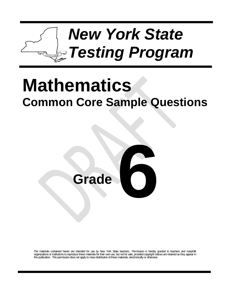

# **Mathematics Common Core Sample Questions**



The materials contained herein are intended for use by New York State teachers. Permission is hereby granted to teachers and nonprofit organizations or institutions to reproduce these materials for their own use, but not for sale, provided copyright notices are retained as they appear in this publication. This permission does not apply to mass distribution of these materials, electronically or otherwise.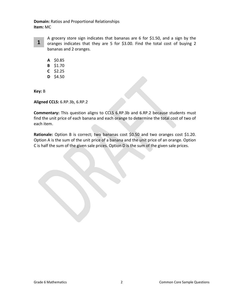**Domain:** Ratios and Proportional Relationships **Item:** MC



A grocery store sign indicates that bananas are 6 for \$1.50, and a sign by the oranges indicates that they are 5 for \$3.00. Find the total cost of buying 2 bananas and 2 oranges.

- **A** \$0.85
- **B** \$1.70
- **C** \$2.25
- **D** \$4.50

**Key:** B

**Aligned CCLS:** 6.RP.3b, 6.RP.2

**Commentary:** This question aligns to CCLS 6.RP.3b and 6.RP.2 because students must find the unit price of each banana and each orange to determine the total cost of two of each item.

**Rationale:** Option B is correct; two bananas cost \$0.50 and two oranges cost \$1.20. Option A is the sum of the unit price of a banana and the unit price of an orange. Option C is half the sum of the given sale prices. Option D is the sum of the given sale prices.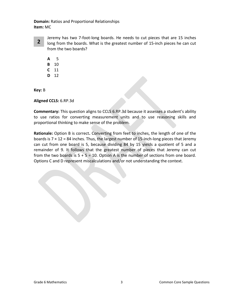**Domain:** Ratios and Proportional Relationships **Item:** MC



Jeremy has two 7-foot-long boards. He needs to cut pieces that are 15 inches long from the boards. What is the greatest number of 15-inch pieces he can cut from the two boards?

**A** 15 **B** 10 **C** 11 **D** 12

**Key:** B

**Aligned CCLS:** 6.RP.3d

**Commentary:** This question aligns to CCLS 6.RP.3d because it assesses a student's ability to use ratios for converting measurement units and to use reasoning skills and proportional thinking to make sense of the problem.

**Rationale:** Option B is correct**.** Converting from feet to inches, the length of one of the boards is  $7 \times 12 = 84$  inches. Thus, the largest number of 15-inch-long pieces that Jeremy can cut from one board is 5, because dividing 84 by 15 yields a quotient of 5 and a remainder of 9. It follows that the greatest number of pieces that Jeremy can cut from the two boards is  $5 + 5 = 10$ . Option A is the number of sections from one board. Options C and D represent miscalculations and/or not understanding the context.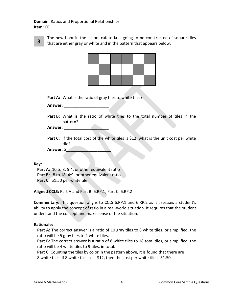**Domain**: Ratios and Proportional Relationships **Item:** CR



The new floor in the school cafeteria is going to be constructed of square tiles that are either gray or white and in the pattern that appears below:



Part A: What is the ratio of gray tiles to white tiles?

**Answer:** \_\_\_\_\_\_\_\_\_\_\_\_\_\_\_\_\_\_\_\_

**Part B:** What is the ratio of white tiles to the total number of tiles in the pattern?

**Answer:** \_\_\_\_\_\_\_\_\_\_\_\_\_\_\_\_\_\_\_\_

Part C: If the total cost of the white tiles is \$12, what is the unit cost per white tile?

**Answer:** \$

**Key:**

Part A: 10 to 8, 5:4, or other equivalent ratio Part B: 8 to 18, 4:9, or other equivalent ratio Part C: \$1.50 per white tile

**Aligned CCLS:** Part A and Part B: 6.RP.1; Part C: 6.RP.2

**Commentary:** This question aligns to CCLS 6.RP.1 and 6.RP.2 as it assesses a student's ability to apply the concept of ratio in a real-world situation. It requires that the student understand the concept and make sense of the situation.

#### **Rationale:**

**Part A:** The correct answer is a ratio of 10 gray tiles to 8 white tiles, or simplified, the ratio will be 5 gray tiles to 4 white tiles.

**Part B:** The correct answer is a ratio of 8 white tiles to 18 total tiles, or simplified, the ratio will be 4 white tiles to 9 tiles, in total.

Part C: Counting the tiles by color in the pattern above, it is found that there are 8 white tiles. If 8 white tiles cost \$12, then the cost per white tile is \$1.50.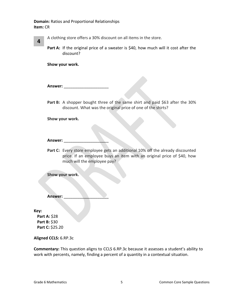**Domain:** Ratios and Proportional Relationships **Item:** CR

**4**

A clothing store offers a 30% discount on all items in the store.

Part A: If the original price of a sweater is \$40, how much will it cost after the discount?

**Show your work.** 

**Answer:** \_\_\_\_\_\_\_\_\_\_\_\_\_\_\_\_\_\_\_\_

Part B: A shopper bought three of the same shirt and paid \$63 after the 30% discount. What was the original price of one of the shirts?

**Show your work.**

#### **Answer:** \_\_\_\_\_\_\_\_\_\_\_\_\_\_\_\_\_\_\_\_

Part C: Every store employee gets an additional 10% off the already discounted price. If an employee buys an item with an original price of \$40, how much will the employee pay?

**Show your work.**

**Answer:** \_\_\_\_\_\_\_\_\_\_\_\_\_\_\_\_\_\_\_\_

**Key:**

**Part A:** \$28 **Part B:** \$30 **Part C:** \$25.20

### **Aligned CCLS:** 6.RP.3c

**Commentary:** This question aligns to CCLS 6.RP.3c because it assesses a student's ability to work with percents, namely, finding a percent of a quantity in a contextual situation.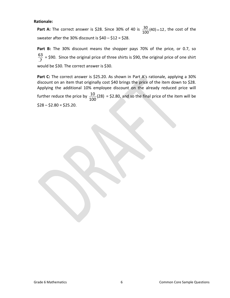#### **Rationale:**

**Part A:** The correct answer is \$28. Since 30% of 40 is  $\frac{30}{100}(40) = 12$  $\frac{30}{100}$ (40) = 12, the cost of the sweater after the 30% discount is  $$40 - $12 = $28$ .

Part B: The 30% discount means the shopper pays 70% of the price, or 0.7, so .7  $\frac{63}{7}$  = \$90. Since the original price of three shirts is \$90, the original price of one shirt would be \$30. The correct answer is \$30.

**Part C:** The correct answer is \$25.20. As shown in Part A's rationale, applying a 30% discount on an item that originally cost \$40 brings the price of the item down to \$28. Applying the additional 10% employee discount on the already reduced price will further reduce the price by  $\frac{10}{400}$  (28) 100  $\frac{10}{100}$  (28) = \$2.80, and so the final price of the item will be

 $$28 - $2.80 = $25.20$ .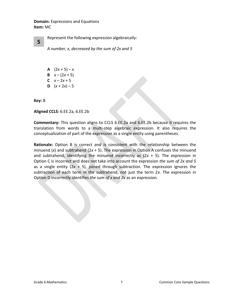**Domain:** Expressions and Equations **Item:** MC

Represent the following expression algebraically:

*A number, x, decreased by the sum of 2x and 5*

- **A**  $(2x + 5) x$ **B**  $x - (2x + 5)$
- **C**  $x 2x + 5$
- **D**  $(x + 2x) 5$

**Key:** B

**5**

**Aligned CCLS:** 6.EE.2a, 6.EE.2b

**Commentary:** This question aligns to CCLS 6.EE.2a and 6.EE.2b because it requires the translation from words to a multi-step algebraic expression. It also requires the conceptualization of part of the expression as a single entity using parentheses.

**Rationale:** Option B is correct and is consistent with the relationship between the minuend (*x*) and subtrahend (2*x* + 5). The expression in Option A confuses the minuend and subtrahend, identifying the minuend incorrectly as  $(2x + 5)$ . The expression in Option C is incorrect and does not take into account the expression *the sum of 2x and 5* as a single entity (2*x* + 5), joined through subtraction. The expression ignores the subtraction of each term in the subtrahend, not just the term 2*x*. The expression in Option D incorrectly identifies *the sum of x and 2x* as an expression*.*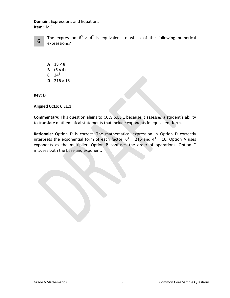**Domain:** Expressions and Equations **Item:** MC



The expression  $6^3 \times 4^2$  is equivalent to which of the following numerical expressions?

**A**  $18 \times 8$ **B**  $(6 \times 4)^5$  $C^2$  24<sup>6</sup> **D**  $216 \times 16$ 

**Key:** D

**Aligned CCLS:** 6.EE.1

**Commentary:** This question aligns to CCLS 6.EE.1 because it assesses a student's ability to translate mathematical statements that include exponents in equivalent form.

**Rationale:** Option D is correct. The mathematical expression in Option D correctly interprets the exponential form of each factor:  $6^3$  = 216 and  $4^2$  = 16. Option A uses exponents as the multiplier. Option B confuses the order of operations. Option C misuses both the base and exponent.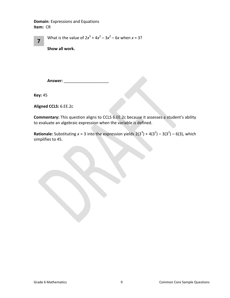**Domain**: Expressions and Equations **Item:** CR

| $\overline{7}$ | What is the value of $2x^3 + 4x^2 - 3x^2 - 6x$ when $x = 3$ ? |
|----------------|---------------------------------------------------------------|
|                |                                                               |

**Show all work.**

**Answer:** \_\_\_\_\_\_\_\_\_\_\_\_\_\_\_\_\_\_\_\_

**Key:** 45

**Aligned CCLS:** 6.EE.2c

**Commentary:** This question aligns to CCLS 6.EE.2c because it assesses a student's ability to evaluate an algebraic expression when the variable is defined.

**Rationale:** Substituting  $x = 3$  into the expression yields  $2(3^3) + 4(3^2) - 3(3^2) - 6(3)$ , which simplifies to 45.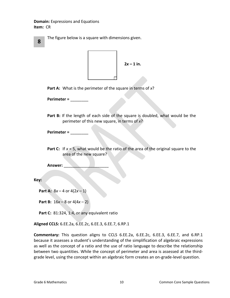**Domain:** Expressions and Equations **Item:** CR

|   | The figure below is a square with dimensions given. |
|---|-----------------------------------------------------|
| 8 |                                                     |



**Part A:** What is the perimeter of the square in terms of *x*?

**Perimeter =** \_\_\_\_\_\_\_\_

**Part B:** If the length of each side of the square is doubled, what would be the perimeter of this new square, in terms of *x*?

**Perimeter =** \_\_\_\_\_\_\_\_

**Part C:** If  $x = 5$ , what would be the ratio of the area of the original square to the area of the new square?

**Answer:** \_\_\_\_\_\_\_\_\_\_\_\_\_\_\_\_\_\_\_\_

**Key:**

**Part A:**  $8x - 4$  or  $4(2x - 1)$ 

**Part B:** 16*x* – 8 or 4(4*x* – 2)

Part C: 81:324, 1:4, or any equivalent ratio

**Aligned CCLS:** 6.EE.2a, 6.EE.2c, 6.EE.3, 6.EE.7, 6.RP.1

**Commentary:** This question aligns to CCLS 6.EE.2a, 6.EE.2c, 6.EE.3, 6.EE.7, and 6.RP.1 because it assesses a student's understanding of the simplification of algebraic expressions as well as the concept of a ratio and the use of ratio language to describe the relationship between two quantities. While the concept of perimeter and area is assessed at the thirdgrade level, using the concept within an algebraic form creates an on-grade-level question.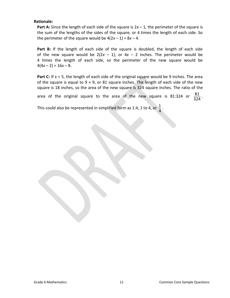### **Rationale:**

**Part A:** Since the length of each side of the square is 2*x* – 1*,* the perimeter of the square is the sum of the lengths of the sides of the square, or 4 times the length of each side. So the perimeter of the square would be  $4(2x - 1) = 8x - 4$ .

**Part B:** If the length of each side of the square is doubled, the length of each side of the new square would be  $2(2x - 1)$ , or  $4x - 2$  inches. The perimeter would be 4 times the length of each side, so the perimeter of the new square would be  $4(4x-2) = 16x-8$ .

**Part C:** If  $x = 5$ , the length of each side of the original square would be 9 inches. The area of the square is equal to  $9 \times 9$ , or 81 square inches. The length of each side of the new square is 18 inches, so the area of the new square is 324 square inches. The ratio of the

area of the original square to the area of the new square is 81:324 or 324 81 .

This could also be represented in simplified form as 1:4, 1 to 4, or  $\frac{1}{4}$ 1 .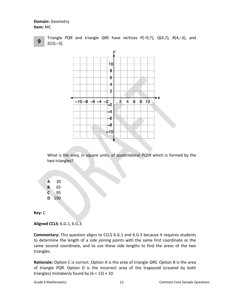**Domain:** Geometry **Item:** MC



Triangle *PQR* and triangle *QRS* have vertices *P*(–9,7), *Q*(4,7), *R*(4,–3), and *S*(10,–3).



What is the area, in square units, of quadrilateral *PQSR* which is formed by the two triangles?

**A** 30 **B** 65 **C** 95 **D** 190

**Key:** C

**Aligned CCLS:** 6.G.1, 6.G.3

**Commentary:** This question aligns to CCLS 6.G.1 and 6.G.3 because it requires students to determine the length of a side joining points with the same first coordinate or the same second coordinate, and to use these side lengths to find the areas of the two triangles.

**Rationale:** Option C is correct. Option A is the area of triangle *QRS*. Option B is the area of triangle *PQR*. Option D is the incorrect area of the trapezoid (created by both triangles) mistakenly found by  $(6 + 13) \times 10$ .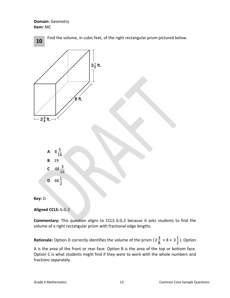**Domain:** Geometry **Item:** MC



**Aligned CCLS:** 6.G.2

**Commentary:** This question aligns to CCLS 6.G.2 because it asks students to find the volume of a right rectangular prism with fractional edge lengths.

**Rationale:** Option D correctly identifies the volume of the prism (2 $\frac{3}{8}$  $2\frac{3}{8} \times 8 \times 3\frac{1}{2}$  $3\frac{1}{2}$ ). Option

A is the area of the front or rear face. Option B is the area of the top or bottom face. Option C is what students might find if they were to work with the whole numbers and fractions separately.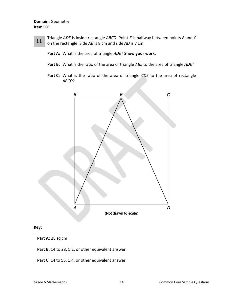## **Domain:** Geometry **Item:** CR

Triangle *ADE* is inside rectangle *ABCD*. Point *E* is halfway between points *B* and *C* on the rectangle. Side *AB* is 8 cm and side *AD* is 7 cm. **11**

**Part A:** What is the area of triangle *ADE*? **Show your work.**

- **Part B:** What is the ratio of the area of triangle *ABE* to the area of triangle *ADE*?
- **Part C:** What is the ratio of the area of triangle *CDE* to the area of rectangle *ABCD*?



**Key:**

**Part A:** 28 sq cm

Part B: 14 to 28, 1:2, or other equivalent answer

Part C: 14 to 56, 1:4, or other equivalent answer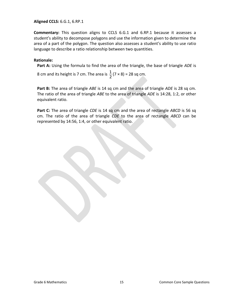**Aligned CCLS:** 6.G.1, 6.RP.1

**Commentary:** This question aligns to CCLS 6.G.1 and 6.RP.1 because it assesses a student's ability to decompose polygons and use the information given to determine the area of a part of the polygon. The question also assesses a student's ability to use ratio language to describe a ratio relationship between two quantities.

#### **Rationale:**

**Part A:** Using the formula to find the area of the triangle, the base of triangle *ADE* is

8 cm and its height is 7 cm. The area is  $\frac{1}{2}$  $\frac{1}{2}$  (7 × 8) = 28 sq cm.

**Part B:** The area of triangle *ABE* is 14 sq cm and the area of triangle *ADE* is 28 sq cm. The ratio of the area of triangle *ABE* to the area of triangle *ADE* is 14:28, 1:2, or other equivalent ratio.

**Part C:** The area of triangle *CDE* is 14 sq cm and the area of rectangle *ABCD* is 56 sq cm. The ratio of the area of triangle *CDE* to the area of rectangle *ABCD* can be represented by 14:56, 1:4, or other equivalent ratio.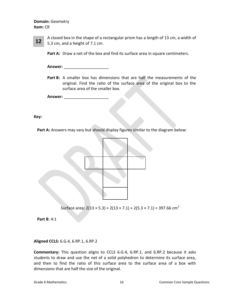### **Domain:** Geometry **Item:** CR

A closed box in the shape of a rectangular prism has a length of 13 cm, a width of 5.3 cm, and a height of 7.1 cm. **12**

**Part A:** Draw a net of the box and find its surface area in square centimeters.

**Answer:** \_\_\_\_\_\_\_\_\_\_\_\_\_\_\_\_\_\_\_\_

**Part B:** A smaller box has dimensions that are half the measurements of the original. Find the ratio of the surface area of the original box to the surface area of the smaller box.

**Answer:** \_\_\_\_\_\_\_\_\_\_\_\_\_\_\_\_\_\_\_\_

**Key:**

Part A: Answers may vary but should display figures similar to the diagram below:



Surface area:  $2(13 \times 5.3) + 2(13 \times 7.1) + 2(5.3 \times 7.1) = 397.66$  cm<sup>2</sup>

**Part B**: 4:1

**Aligned CCLS:** 6.G.4, 6.RP.1, 6.RP.2

**Commentary:** This question aligns to CCLS 6.G.4, 6.RP.1, and 6.RP.2 because it asks students to draw and use the net of a solid polyhedron to determine its surface area, and then to find the ratio of this surface area to the surface area of a box with dimensions that are half the size of the original.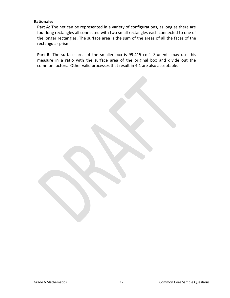### **Rationale:**

Part A: The net can be represented in a variety of configurations, as long as there are four long rectangles all connected with two small rectangles each connected to one of the longer rectangles. The surface area is the sum of the areas of all the faces of the rectangular prism.

Part B: The surface area of the smaller box is 99.415 cm<sup>2</sup>. Students may use this measure in a ratio with the surface area of the original box and divide out the common factors. Other valid processes that result in 4:1 are also acceptable.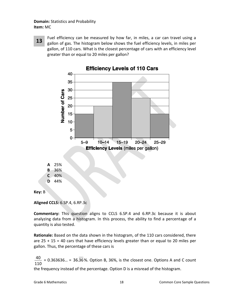**Domain:** Statistics and Probability **Item:** MC

Fuel efficiency can be measured by how far, in miles, a car can travel using a gallon of gas. The histogram below shows the fuel efficiency levels, in miles per gallon, of 110 cars. What is the closest percentage of cars with an efficiency level greater than or equal to 20 miles per gallon? **13**



**Key:** B

**Aligned CCLS:** 6.SP.4, 6.RP.3c

**Commentary:** This question aligns to CCLS 6.SP.4 and 6.RP.3c because it is about analyzing data from a histogram. In this process, the ability to find a percentage of a quantity is also tested.

**Rationale:** Based on the data shown in the histogram, of the 110 cars considered, there are  $25 + 15 = 40$  cars that have efficiency levels greater than or equal to 20 miles per gallon. Thus, the percentage of these cars is

110  $\frac{40}{10}$  = 0.363636... = 36.36%. Option B, 36%, is the closest one. Options A and C count the frequency instead of the percentage. Option D is a misread of the histogram.